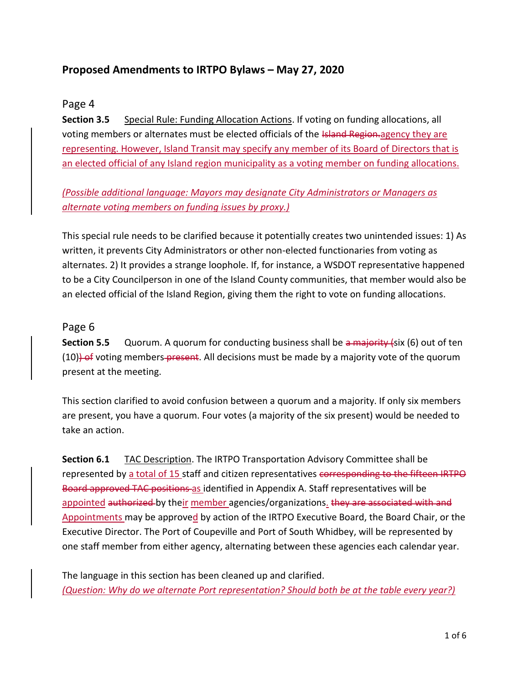# **Proposed Amendments to IRTPO Bylaws – May 27, 2020**

### Page 4

**Section 3.5** Special Rule: Funding Allocation Actions. If voting on funding allocations, all voting members or alternates must be elected officials of the Island Region-agency they are representing. However, Island Transit may specify any member of its Board of Directors that is an elected official of any Island region municipality as a voting member on funding allocations.

*(Possible additional language: Mayors may designate City Administrators or Managers as alternate voting members on funding issues by proxy.)*

This special rule needs to be clarified because it potentially creates two unintended issues: 1) As written, it prevents City Administrators or other non-elected functionaries from voting as alternates. 2) It provides a strange loophole. If, for instance, a WSDOT representative happened to be a City Councilperson in one of the Island County communities, that member would also be an elected official of the Island Region, giving them the right to vote on funding allocations.

#### Page 6

**Section 5.5** Quorum. A quorum for conducting business shall be a majority (six (6) out of ten  $(10)$ ) of voting members present. All decisions must be made by a majority vote of the quorum present at the meeting.

This section clarified to avoid confusion between a quorum and a majority. If only six members are present, you have a quorum. Four votes (a majority of the six present) would be needed to take an action.

**Section 6.1** TAC Description. The IRTPO Transportation Advisory Committee shall be represented by a total of 15 staff and citizen representatives corresponding to the fifteen IRTPO Board approved TAC positions as identified in Appendix A. Staff representatives will be appointed authorized by their member agencies/organizations. they are associated with and Appointments may be approved by action of the IRTPO Executive Board, the Board Chair, or the Executive Director. The Port of Coupeville and Port of South Whidbey, will be represented by one staff member from either agency, alternating between these agencies each calendar year.

The language in this section has been cleaned up and clarified. *(Question: Why do we alternate Port representation? Should both be at the table every year?)*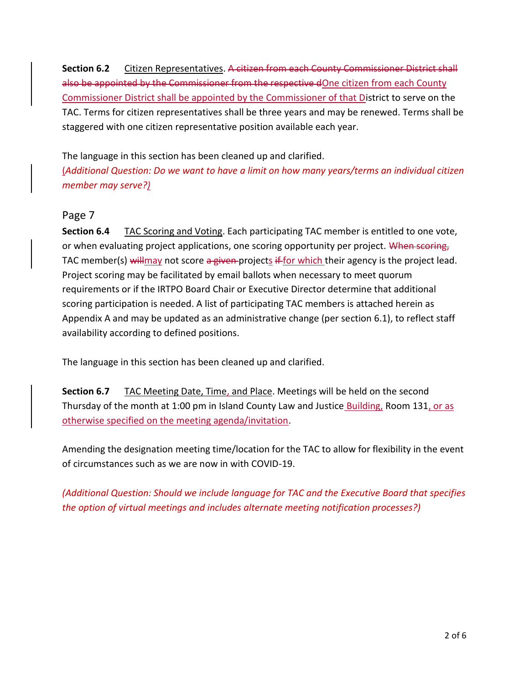**Section 6.2** Citizen Representatives. A citizen from each County Commissioner District shall also be appointed by the Commissioner from the respective dOne citizen from each County Commissioner District shall be appointed by the Commissioner of that District to serve on the TAC. Terms for citizen representatives shall be three years and may be renewed. Terms shall be staggered with one citizen representative position available each year.

The language in this section has been cleaned up and clarified.

(*Additional Question: Do we want to have a limit on how many years/terms an individual citizen member may serve?)*

## Page 7

**Section 6.4** TAC Scoring and Voting. Each participating TAC member is entitled to one vote, or when evaluating project applications, one scoring opportunity per project. When scoring, TAC member(s) will may not score a given projects if for which their agency is the project lead. Project scoring may be facilitated by email ballots when necessary to meet quorum requirements or if the IRTPO Board Chair or Executive Director determine that additional scoring participation is needed. A list of participating TAC members is attached herein as Appendix A and may be updated as an administrative change (per section 6.1), to reflect staff availability according to defined positions.

The language in this section has been cleaned up and clarified.

**Section 6.7** TAC Meeting Date, Time, and Place. Meetings will be held on the second Thursday of the month at 1:00 pm in Island County Law and Justice Building, Room 131, or as otherwise specified on the meeting agenda/invitation.

Amending the designation meeting time/location for the TAC to allow for flexibility in the event of circumstances such as we are now in with COVID-19.

*(Additional Question: Should we include language for TAC and the Executive Board that specifies the option of virtual meetings and includes alternate meeting notification processes?)*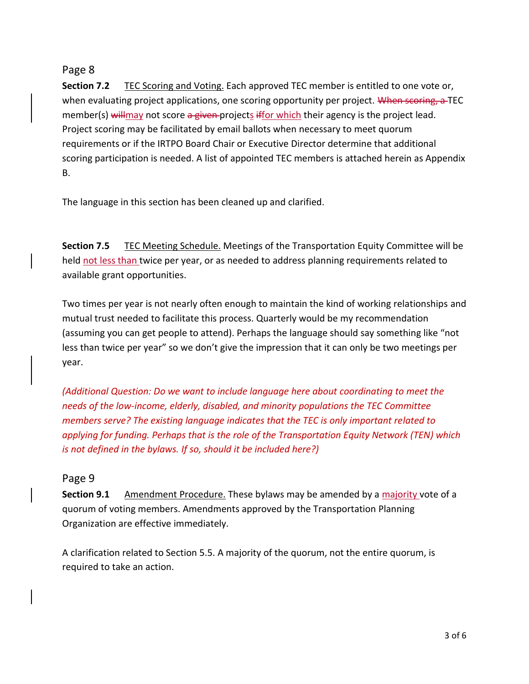### Page 8

**Section 7.2** TEC Scoring and Voting. Each approved TEC member is entitled to one vote or, when evaluating project applications, one scoring opportunity per project. When scoring, a TEC member(s) will may not score a given-projects if for which their agency is the project lead. Project scoring may be facilitated by email ballots when necessary to meet quorum requirements or if the IRTPO Board Chair or Executive Director determine that additional scoring participation is needed. A list of appointed TEC members is attached herein as Appendix B.

The language in this section has been cleaned up and clarified.

**Section 7.5** TEC Meeting Schedule. Meetings of the Transportation Equity Committee will be held not less than twice per year, or as needed to address planning requirements related to available grant opportunities.

Two times per year is not nearly often enough to maintain the kind of working relationships and mutual trust needed to facilitate this process. Quarterly would be my recommendation (assuming you can get people to attend). Perhaps the language should say something like "not less than twice per year" so we don't give the impression that it can only be two meetings per year.

*(Additional Question: Do we want to include language here about coordinating to meet the needs of the low-income, elderly, disabled, and minority populations the TEC Committee members serve? The existing language indicates that the TEC is only important related to applying for funding. Perhaps that is the role of the Transportation Equity Network (TEN) which is not defined in the bylaws. If so, should it be included here?)*

### Page 9

**Section 9.1** Amendment Procedure. These bylaws may be amended by a majority vote of a quorum of voting members. Amendments approved by the Transportation Planning Organization are effective immediately.

A clarification related to Section 5.5. A majority of the quorum, not the entire quorum, is required to take an action.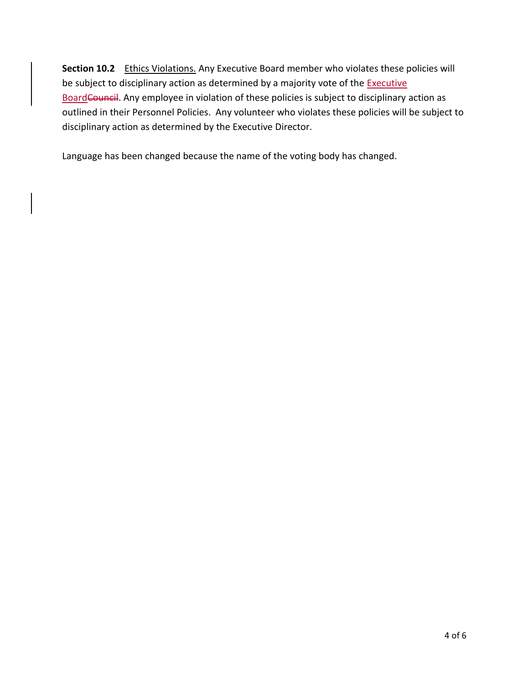**Section 10.2** Ethics Violations. Any Executive Board member who violates these policies will be subject to disciplinary action as determined by a majority vote of the **Executive** BoardCouncil. Any employee in violation of these policies is subject to disciplinary action as outlined in their Personnel Policies. Any volunteer who violates these policies will be subject to disciplinary action as determined by the Executive Director.

Language has been changed because the name of the voting body has changed.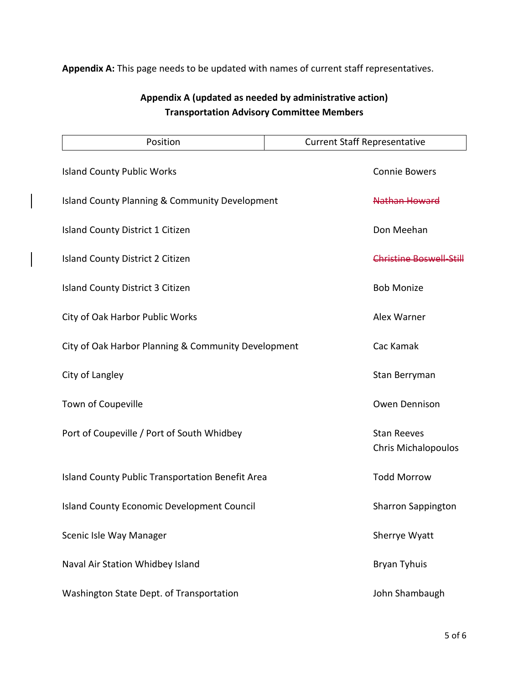## **Appendix A:** This page needs to be updated with names of current staff representatives.

# **Appendix A (updated as needed by administrative action) Transportation Advisory Committee Members**

| Position                                                  | <b>Current Staff Representative</b>              |
|-----------------------------------------------------------|--------------------------------------------------|
| <b>Island County Public Works</b>                         | <b>Connie Bowers</b>                             |
| <b>Island County Planning &amp; Community Development</b> | Nathan Howard                                    |
| Island County District 1 Citizen                          | Don Meehan                                       |
| Island County District 2 Citizen                          | Christine Boswell-Still                          |
| <b>Island County District 3 Citizen</b>                   | <b>Bob Monize</b>                                |
| City of Oak Harbor Public Works                           | Alex Warner                                      |
| City of Oak Harbor Planning & Community Development       | Cac Kamak                                        |
| City of Langley                                           | Stan Berryman                                    |
| Town of Coupeville                                        | Owen Dennison                                    |
| Port of Coupeville / Port of South Whidbey                | <b>Stan Reeves</b><br><b>Chris Michalopoulos</b> |
| Island County Public Transportation Benefit Area          | <b>Todd Morrow</b>                               |
| <b>Island County Economic Development Council</b>         | <b>Sharron Sappington</b>                        |
| Scenic Isle Way Manager                                   | Sherrye Wyatt                                    |
| Naval Air Station Whidbey Island                          | <b>Bryan Tyhuis</b>                              |
| Washington State Dept. of Transportation                  | John Shambaugh                                   |